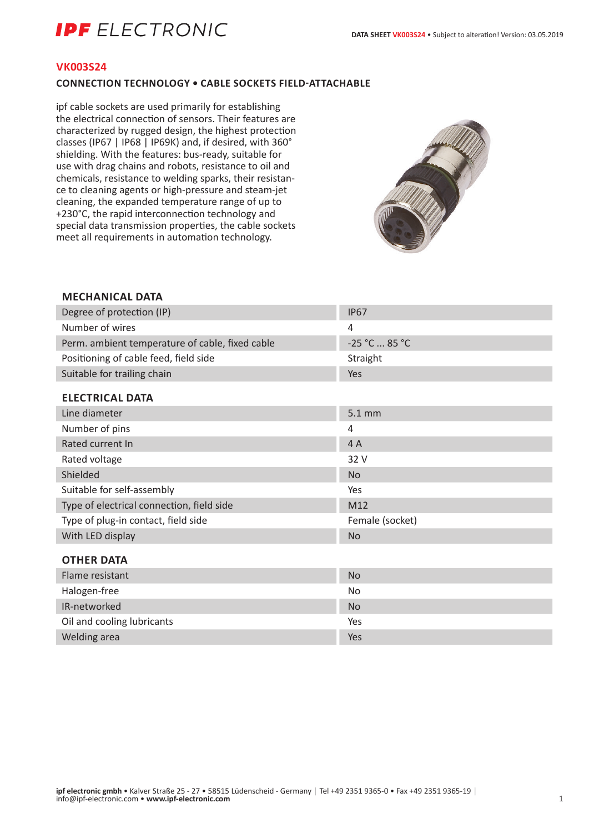# **IPF** ELECTRONIC

### **VK003S24**

### **CONNECTION TECHNOLOGY • CABLE SOCKETS FIELD-ATTACHABLE**

ipf cable sockets are used primarily for establishing the electrical connection of sensors. Their features are characterized by rugged design, the highest protection classes (IP67 | IP68 | IP69K) and, if desired, with 360° shielding. With the features: bus-ready, suitable for use with drag chains and robots, resistance to oil and chemicals, resistance to welding sparks, their resistance to cleaning agents or high-pressure and steam-jet cleaning, the expanded temperature range of up to +230°C, the rapid interconnection technology and special data transmission properties, the cable sockets meet all requirements in automation technology.



### **MECHANICAL DATA**

| Degree of protection (IP)                       | <b>IP67</b>     |
|-------------------------------------------------|-----------------|
| Number of wires                                 | 4               |
| Perm. ambient temperature of cable, fixed cable | -25 °C  85 °C   |
| Positioning of cable feed, field side           | Straight        |
| Suitable for trailing chain                     | Yes             |
| <b>ELECTRICAL DATA</b>                          |                 |
| Line diameter                                   | $5.1$ mm        |
| Number of pins                                  | 4               |
| Rated current In                                | 4A              |
| Rated voltage                                   | 32 V            |
| Shielded                                        | <b>No</b>       |
| Suitable for self-assembly                      | Yes             |
| Type of electrical connection, field side       | M12             |
| Type of plug-in contact, field side             | Female (socket) |
| With LED display                                | <b>No</b>       |
| <b>OTHER DATA</b>                               |                 |
| Flame resistant                                 | <b>No</b>       |
| Halogen-free                                    | <b>No</b>       |
| IR-networked                                    | <b>No</b>       |
| Oil and cooling lubricants                      | Yes             |

Welding area Yes